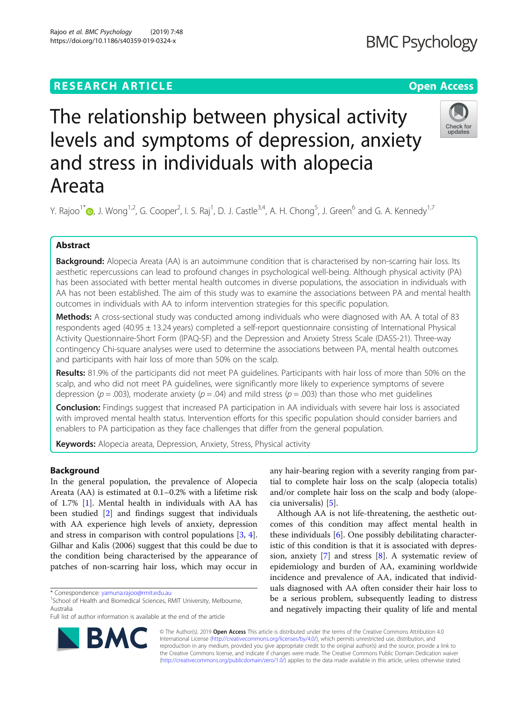## **RESEARCH ARTICLE Example 2018 12:30 THE Open Access**

# The relationship between physical activity levels and symptoms of depression, anxiety and stress in individuals with alopecia Areata

Y. Rajoo<sup>1\*</sup>®[,](http://orcid.org/0000-0002-8339-6631) J. Wong<sup>1,2</sup>, G. Cooper<sup>2</sup>, I. S. Raj<sup>1</sup>, D. J. Castle<sup>3,4</sup>, A. H. Chong<sup>5</sup>, J. Green<sup>6</sup> and G. A. Kennedy<sup>1,7</sup>

## Abstract

Background: Alopecia Areata (AA) is an autoimmune condition that is characterised by non-scarring hair loss. Its aesthetic repercussions can lead to profound changes in psychological well-being. Although physical activity (PA) has been associated with better mental health outcomes in diverse populations, the association in individuals with AA has not been established. The aim of this study was to examine the associations between PA and mental health outcomes in individuals with AA to inform intervention strategies for this specific population.

Methods: A cross-sectional study was conducted among individuals who were diagnosed with AA. A total of 83 respondents aged (40.95 ± 13.24 years) completed a self-report questionnaire consisting of International Physical Activity Questionnaire-Short Form (IPAQ-SF) and the Depression and Anxiety Stress Scale (DASS-21). Three-way contingency Chi-square analyses were used to determine the associations between PA, mental health outcomes and participants with hair loss of more than 50% on the scalp.

Results: 81.9% of the participants did not meet PA quidelines. Participants with hair loss of more than 50% on the scalp, and who did not meet PA guidelines, were significantly more likely to experience symptoms of severe depression ( $p = .003$ ), moderate anxiety ( $p = .04$ ) and mild stress ( $p = .003$ ) than those who met guidelines

**Conclusion:** Findings suggest that increased PA participation in AA individuals with severe hair loss is associated with improved mental health status. Intervention efforts for this specific population should consider barriers and enablers to PA participation as they face challenges that differ from the general population.

Keywords: Alopecia areata, Depression, Anxiety, Stress, Physical activity

## Background

In the general population, the prevalence of Alopecia Areata (AA) is estimated at 0.1–0.2% with a lifetime risk of 1.7% [[1\]](#page-5-0). Mental health in individuals with AA has been studied [\[2](#page-5-0)] and findings suggest that individuals with AA experience high levels of anxiety, depression and stress in comparison with control populations [\[3](#page-5-0), [4](#page-5-0)]. Gilhar and Kalis (2006) suggest that this could be due to the condition being characterised by the appearance of patches of non-scarring hair loss, which may occur in

any hair-bearing region with a severity ranging from partial to complete hair loss on the scalp (alopecia totalis) and/or complete hair loss on the scalp and body (alopecia universalis) [\[5](#page-5-0)].

Although AA is not life-threatening, the aesthetic outcomes of this condition may affect mental health in these individuals [\[6](#page-5-0)]. One possibly debilitating characteristic of this condition is that it is associated with depression, anxiety [[7\]](#page-5-0) and stress [[8\]](#page-5-0). A systematic review of epidemiology and burden of AA, examining worldwide incidence and prevalence of AA, indicated that individuals diagnosed with AA often consider their hair loss to be a serious problem, subsequently leading to distress and negatively impacting their quality of life and mental

© The Author(s). 2019 **Open Access** This article is distributed under the terms of the Creative Commons Attribution 4.0 International License [\(http://creativecommons.org/licenses/by/4.0/](http://creativecommons.org/licenses/by/4.0/)), which permits unrestricted use, distribution, and reproduction in any medium, provided you give appropriate credit to the original author(s) and the source, provide a link to the Creative Commons license, and indicate if changes were made. The Creative Commons Public Domain Dedication waiver [\(http://creativecommons.org/publicdomain/zero/1.0/](http://creativecommons.org/publicdomain/zero/1.0/)) applies to the data made available in this article, unless otherwise stated.





undates

<sup>\*</sup> Correspondence: [yamuna.rajoo@rmit.edu.au](mailto:yamuna.rajoo@rmit.edu.au) <sup>1</sup>

<sup>&</sup>lt;sup>1</sup>School of Health and Biomedical Sciences, RMIT University, Melbourne, Australia

Full list of author information is available at the end of the article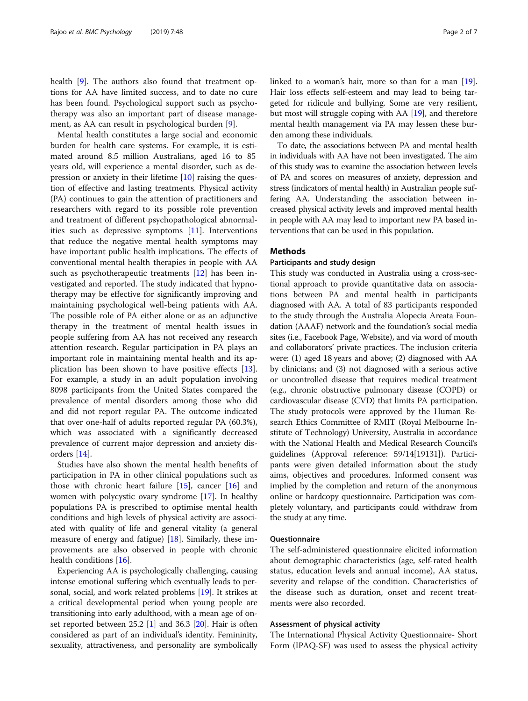health [[9\]](#page-5-0). The authors also found that treatment options for AA have limited success, and to date no cure has been found. Psychological support such as psychotherapy was also an important part of disease management, as AA can result in psychological burden [[9\]](#page-5-0).

Mental health constitutes a large social and economic burden for health care systems. For example, it is estimated around 8.5 million Australians, aged 16 to 85 years old, will experience a mental disorder, such as depression or anxiety in their lifetime [[10](#page-5-0)] raising the question of effective and lasting treatments. Physical activity (PA) continues to gain the attention of practitioners and researchers with regard to its possible role prevention and treatment of different psychopathological abnormalities such as depressive symptoms [\[11](#page-5-0)]. Interventions that reduce the negative mental health symptoms may have important public health implications. The effects of conventional mental health therapies in people with AA such as psychotherapeutic treatments [\[12\]](#page-5-0) has been investigated and reported. The study indicated that hypnotherapy may be effective for significantly improving and maintaining psychological well-being patients with AA. The possible role of PA either alone or as an adjunctive therapy in the treatment of mental health issues in people suffering from AA has not received any research attention research. Regular participation in PA plays an important role in maintaining mental health and its application has been shown to have positive effects [\[13](#page-5-0)]. For example, a study in an adult population involving 8098 participants from the United States compared the prevalence of mental disorders among those who did and did not report regular PA. The outcome indicated that over one-half of adults reported regular PA (60.3%), which was associated with a significantly decreased prevalence of current major depression and anxiety disorders [[14](#page-5-0)].

Studies have also shown the mental health benefits of participation in PA in other clinical populations such as those with chronic heart failure [\[15](#page-6-0)], cancer [\[16](#page-6-0)] and women with polycystic ovary syndrome [\[17](#page-6-0)]. In healthy populations PA is prescribed to optimise mental health conditions and high levels of physical activity are associated with quality of life and general vitality (a general measure of energy and fatigue) [[18\]](#page-6-0). Similarly, these improvements are also observed in people with chronic health conditions [[16](#page-6-0)].

Experiencing AA is psychologically challenging, causing intense emotional suffering which eventually leads to personal, social, and work related problems [\[19\]](#page-6-0). It strikes at a critical developmental period when young people are transitioning into early adulthood, with a mean age of onset reported between 25.2 [\[1](#page-5-0)] and 36.3 [[20\]](#page-6-0). Hair is often considered as part of an individual's identity. Femininity, sexuality, attractiveness, and personality are symbolically linked to a woman's hair, more so than for a man [[19](#page-6-0)]. Hair loss effects self-esteem and may lead to being targeted for ridicule and bullying. Some are very resilient, but most will struggle coping with AA [[19](#page-6-0)], and therefore mental health management via PA may lessen these burden among these individuals.

To date, the associations between PA and mental health in individuals with AA have not been investigated. The aim of this study was to examine the association between levels of PA and scores on measures of anxiety, depression and stress (indicators of mental health) in Australian people suffering AA. Understanding the association between increased physical activity levels and improved mental health in people with AA may lead to important new PA based interventions that can be used in this population.

## Methods

#### Participants and study design

This study was conducted in Australia using a cross-sectional approach to provide quantitative data on associations between PA and mental health in participants diagnosed with AA. A total of 83 participants responded to the study through the Australia Alopecia Areata Foundation (AAAF) network and the foundation's social media sites (i.e., Facebook Page, Website), and via word of mouth and collaborators' private practices. The inclusion criteria were: (1) aged 18 years and above; (2) diagnosed with AA by clinicians; and (3) not diagnosed with a serious active or uncontrolled disease that requires medical treatment (e.g., chronic obstructive pulmonary disease (COPD) or cardiovascular disease (CVD) that limits PA participation. The study protocols were approved by the Human Research Ethics Committee of RMIT (Royal Melbourne Institute of Technology) University, Australia in accordance with the National Health and Medical Research Council's guidelines (Approval reference: 59/14[19131]). Participants were given detailed information about the study aims, objectives and procedures. Informed consent was implied by the completion and return of the anonymous online or hardcopy questionnaire. Participation was completely voluntary, and participants could withdraw from the study at any time.

#### Questionnaire

The self-administered questionnaire elicited information about demographic characteristics (age, self-rated health status, education levels and annual income), AA status, severity and relapse of the condition. Characteristics of the disease such as duration, onset and recent treatments were also recorded.

#### Assessment of physical activity

The International Physical Activity Questionnaire- Short Form (IPAQ-SF) was used to assess the physical activity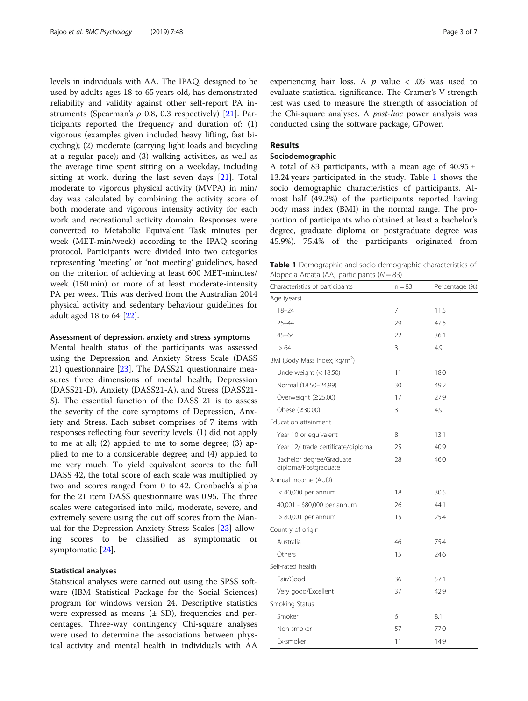levels in individuals with AA. The IPAQ, designed to be used by adults ages 18 to 65 years old, has demonstrated reliability and validity against other self-report PA instruments (Spearman's  $\rho$  0.8, 0.3 respectively) [[21](#page-6-0)]. Participants reported the frequency and duration of: (1) vigorous (examples given included heavy lifting, fast bicycling); (2) moderate (carrying light loads and bicycling at a regular pace); and (3) walking activities, as well as the average time spent sitting on a weekday, including sitting at work, during the last seven days [[21\]](#page-6-0). Total moderate to vigorous physical activity (MVPA) in min/ day was calculated by combining the activity score of both moderate and vigorous intensity activity for each work and recreational activity domain. Responses were converted to Metabolic Equivalent Task minutes per week (MET-min/week) according to the IPAQ scoring protocol. Participants were divided into two categories representing 'meeting' or 'not meeting' guidelines, based on the criterion of achieving at least 600 MET-minutes/ week (150 min) or more of at least moderate-intensity PA per week. This was derived from the Australian 2014 physical activity and sedentary behaviour guidelines for adult aged 18 to 64 [[22\]](#page-6-0).

#### Assessment of depression, anxiety and stress symptoms

Mental health status of the participants was assessed using the Depression and Anxiety Stress Scale (DASS 21) questionnaire [\[23](#page-6-0)]. The DASS21 questionnaire measures three dimensions of mental health; Depression (DASS21-D), Anxiety (DASS21-A), and Stress (DASS21- S). The essential function of the DASS 21 is to assess the severity of the core symptoms of Depression, Anxiety and Stress. Each subset comprises of 7 items with responses reflecting four severity levels: (1) did not apply to me at all; (2) applied to me to some degree; (3) applied to me to a considerable degree; and (4) applied to me very much. To yield equivalent scores to the full DASS 42, the total score of each scale was multiplied by two and scores ranged from 0 to 42. Cronbach's alpha for the 21 item DASS questionnaire was 0.95. The three scales were categorised into mild, moderate, severe, and extremely severe using the cut off scores from the Manual for the Depression Anxiety Stress Scales [[23\]](#page-6-0) allowing scores to be classified as symptomatic or symptomatic [\[24](#page-6-0)].

#### Statistical analyses

Statistical analyses were carried out using the SPSS software (IBM Statistical Package for the Social Sciences) program for windows version 24. Descriptive statistics were expressed as means  $(\pm S_D)$ , frequencies and percentages. Three-way contingency Chi-square analyses were used to determine the associations between physical activity and mental health in individuals with AA experiencing hair loss. A  $p$  value  $\lt$  .05 was used to evaluate statistical significance. The Cramer's V strength test was used to measure the strength of association of the Chi-square analyses. A post-hoc power analysis was conducted using the software package, GPower.

## Results

### Sociodemographic

A total of 83 participants, with a mean age of  $40.95 \pm$ 13.24 years participated in the study. Table 1 shows the socio demographic characteristics of participants. Almost half (49.2%) of the participants reported having body mass index (BMI) in the normal range. The proportion of participants who obtained at least a bachelor's degree, graduate diploma or postgraduate degree was 45.9%). 75.4% of the participants originated from

Table 1 Demographic and socio demographic characteristics of Alopecia Areata (AA) participants (N = 83)

| Characteristics of participants                  | $n = 83$ | Percentage (%) |
|--------------------------------------------------|----------|----------------|
| Age (years)                                      |          |                |
| $18 - 24$                                        | 7        | 11.5           |
| $25 - 44$                                        | 29       | 47.5           |
| $45 - 64$                                        | 22       | 36.1           |
| >64                                              | 3        | 4.9            |
| BMI (Body Mass Index; kg/m <sup>2</sup> )        |          |                |
| Underweight (< 18.50)                            | 11       | 18.0           |
| Normal (18.50-24.99)                             | 30       | 49.2           |
| Overweight (≥25.00)                              | 17       | 27.9           |
| Obese (≥30.00)                                   | 3        | 4.9            |
| Education attainment                             |          |                |
| Year 10 or equivalent                            | 8        | 13.1           |
| Year 12/ trade certificate/diploma               | 25       | 40.9           |
| Bachelor degree/Graduate<br>diploma/Postgraduate | 28       | 46.0           |
| Annual Income (AUD)                              |          |                |
| $<$ 40,000 per annum                             | 18       | 30.5           |
| 40,001 - \$80,000 per annum                      | 26       | 44.1           |
| $> 80,001$ per annum                             | 15       | 25.4           |
| Country of origin                                |          |                |
| Australia                                        | 46       | 75.4           |
| Others                                           | 15       | 24.6           |
| Self-rated health                                |          |                |
| Fair/Good                                        | 36       | 57.1           |
| Very good/Excellent                              | 37       | 42.9           |
| Smoking Status                                   |          |                |
| Smoker                                           | 6        | 8.1            |
| Non-smoker                                       | 57       | 77.0           |
| Ex-smoker                                        | 11       | 14.9           |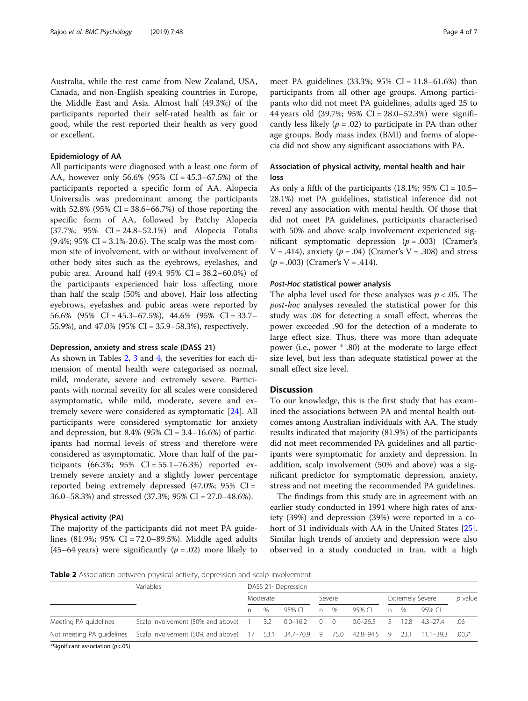Australia, while the rest came from New Zealand, USA, Canada, and non-English speaking countries in Europe, the Middle East and Asia. Almost half (49.3%;) of the participants reported their self-rated health as fair or good, while the rest reported their health as very good or excellent.

#### Epidemiology of AA

All participants were diagnosed with a least one form of AA, however only 56.6% (95% CI = 45.3–67.5%) of the participants reported a specific form of AA. Alopecia Universalis was predominant among the participants with  $52.8\%$  (95% CI = 38.6–66.7%) of those reporting the specific form of AA, followed by Patchy Alopecia (37.7%; 95% CI = 24.8–52.1%) and Alopecia Totalis (9.4%; 95% CI = 3.1%-20.6). The scalp was the most common site of involvement, with or without involvement of other body sites such as the eyebrows, eyelashes, and pubic area. Around half (49.4 95% CI = 38.2–60.0%) of the participants experienced hair loss affecting more than half the scalp (50% and above). Hair loss affecting eyebrows, eyelashes and pubic areas were reported by 56.6% (95% CI = 45.3–67.5%), 44.6% (95% CI = 33.7– 55.9%), and 47.0% (95% CI = 35.9–58.3%), respectively.

#### Depression, anxiety and stress scale (DASS 21)

As shown in Tables 2, [3](#page-4-0) and [4](#page-4-0), the severities for each dimension of mental health were categorised as normal, mild, moderate, severe and extremely severe. Participants with normal severity for all scales were considered asymptomatic, while mild, moderate, severe and extremely severe were considered as symptomatic [\[24\]](#page-6-0). All participants were considered symptomatic for anxiety and depression, but 8.4% (95% CI =  $3.4-16.6%$ ) of participants had normal levels of stress and therefore were considered as asymptomatic. More than half of the participants (66.3%; 95% CI =  $55.1 - 76.3%$ ) reported extremely severe anxiety and a slightly lower percentage reported being extremely depressed (47.0%; 95% CI = 36.0–58.3%) and stressed (37.3%; 95% CI = 27.0–48.6%).

#### Physical activity (PA)

The majority of the participants did not meet PA guidelines (81.9%; 95% CI = 72.0–89.5%). Middle aged adults (45–64 years) were significantly ( $p = .02$ ) more likely to

meet PA guidelines (33.3%; 95% CI = 11.8–61.6%) than participants from all other age groups. Among participants who did not meet PA guidelines, adults aged 25 to 44 years old (39.7%; 95% CI = 28.0–52.3%) were significantly less likely ( $p = .02$ ) to participate in PA than other age groups. Body mass index (BMI) and forms of alopecia did not show any significant associations with PA.

## Association of physical activity, mental health and hair loss

As only a fifth of the participants  $(18.1\%; 95\% \text{ CI} = 10.5-$ 28.1%) met PA guidelines, statistical inference did not reveal any association with mental health. Of those that did not meet PA guidelines, participants characterised with 50% and above scalp involvement experienced significant symptomatic depression  $(p=.003)$  (Cramer's  $V = .414$ ), anxiety ( $p = .04$ ) (Cramer's  $V = .308$ ) and stress  $(p = .003)$  (Cramer's V = .414).

#### Post-Hoc statistical power analysis

The alpha level used for these analyses was  $p < .05$ . The post-hoc analyses revealed the statistical power for this study was .08 for detecting a small effect, whereas the power exceeded .90 for the detection of a moderate to large effect size. Thus, there was more than adequate power (i.e., power \* .80) at the moderate to large effect size level, but less than adequate statistical power at the small effect size level.

#### **Discussion**

To our knowledge, this is the first study that has examined the associations between PA and mental health outcomes among Australian individuals with AA. The study results indicated that majority (81.9%) of the participants did not meet recommended PA guidelines and all participants were symptomatic for anxiety and depression. In addition, scalp involvement (50% and above) was a significant predictor for symptomatic depression, anxiety, stress and not meeting the recommended PA guidelines.

The findings from this study are in agreement with an earlier study conducted in 1991 where high rates of anxiety (39%) and depression (39%) were reported in a cohort of 31 individuals with AA in the United States [\[25](#page-6-0)]. Similar high trends of anxiety and depression were also observed in a study conducted in Iran, with a high

Table 2 Association between physical activity, depression and scalp involvement

|                                                                                                                    | <b>Variables</b>                        |          | DASS 21- Depression |                  |        |      |              |    |                         |            |         |  |  |  |  |  |  |
|--------------------------------------------------------------------------------------------------------------------|-----------------------------------------|----------|---------------------|------------------|--------|------|--------------|----|-------------------------|------------|---------|--|--|--|--|--|--|
|                                                                                                                    |                                         | Moderate |                     |                  | Severe |      |              |    | <b>Extremely Severe</b> | p value    |         |  |  |  |  |  |  |
|                                                                                                                    |                                         | n.       | $\%$                | 95% CL           | n      | $\%$ | 95% CL       | n  | $\%$                    | 95% CL     |         |  |  |  |  |  |  |
| Meeting PA guidelines                                                                                              | Scalp involvement (50% and above) 1 3.2 |          |                     | $0.0 - 16.2$ 0 0 |        |      | $0.0 - 26.5$ | -5 | 12.8                    | $43 - 274$ | .06     |  |  |  |  |  |  |
| Scalp involvement (50% and above) 17 53.1 34.7–70.9 9 75.0 42.8–94.5 9 23.1 11.1–39.3<br>Not meeting PA guidelines |                                         |          |                     |                  |        |      |              |    |                         |            | $.003*$ |  |  |  |  |  |  |

\*Significant association (p<.05)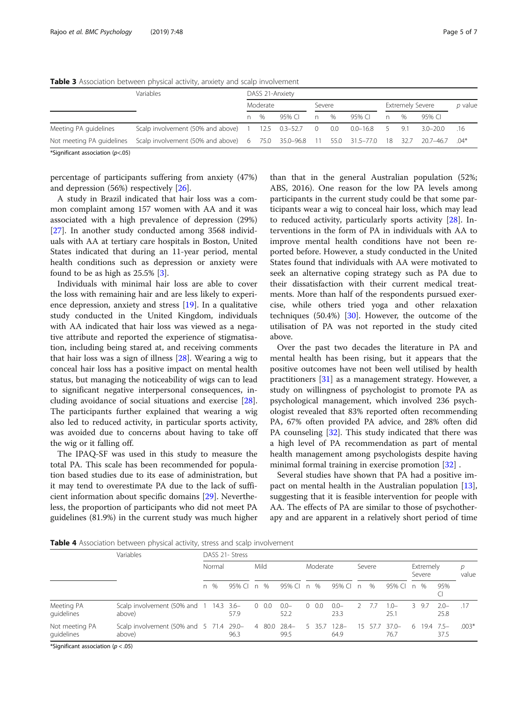|                                                                                                                                                                                                                                  | <b>Variables</b> | DASS 21-Anxiety |               |        |        |  |        |                         |         |              |     |  |  |  |  |  |
|----------------------------------------------------------------------------------------------------------------------------------------------------------------------------------------------------------------------------------|------------------|-----------------|---------------|--------|--------|--|--------|-------------------------|---------|--------------|-----|--|--|--|--|--|
|                                                                                                                                                                                                                                  |                  |                 | Moderate      |        | Severe |  |        | <b>Extremely Severe</b> | p value |              |     |  |  |  |  |  |
|                                                                                                                                                                                                                                  |                  | n               | $\frac{0}{0}$ | 95% CL | n %    |  | 95% CL | $n -$                   | $\%$    | 95% CI       |     |  |  |  |  |  |
| Scalp involvement (50% and above) 1 12.5 0.3-52.7 0 0.0 0.0-16.8 5 9.1<br>Meeting PA guidelines<br>*0.04 *10 Scalp involvement (50% and above) 6 75.0 35.0–96.8 11 55.0 31.5–77.0 18 32.7 20.7–46.7<br>Not meeting PA guidelines |                  |                 |               |        |        |  |        |                         |         | $3.0 - 20.0$ | .16 |  |  |  |  |  |
|                                                                                                                                                                                                                                  |                  |                 |               |        |        |  |        |                         |         |              |     |  |  |  |  |  |

<span id="page-4-0"></span>**Table 3** Association between physical activity, anxiety and scalp involvement

\*Significant association  $(p<.05)$ 

percentage of participants suffering from anxiety (47%) and depression (56%) respectively [[26\]](#page-6-0).

A study in Brazil indicated that hair loss was a common complaint among 157 women with AA and it was associated with a high prevalence of depression (29%) [[27\]](#page-6-0). In another study conducted among 3568 individuals with AA at tertiary care hospitals in Boston, United States indicated that during an 11-year period, mental health conditions such as depression or anxiety were found to be as high as 25.5% [\[3](#page-5-0)].

Individuals with minimal hair loss are able to cover the loss with remaining hair and are less likely to experience depression, anxiety and stress [\[19\]](#page-6-0). In a qualitative study conducted in the United Kingdom, individuals with AA indicated that hair loss was viewed as a negative attribute and reported the experience of stigmatisation, including being stared at, and receiving comments that hair loss was a sign of illness [\[28\]](#page-6-0). Wearing a wig to conceal hair loss has a positive impact on mental health status, but managing the noticeability of wigs can to lead to significant negative interpersonal consequences, including avoidance of social situations and exercise [\[28](#page-6-0)]. The participants further explained that wearing a wig also led to reduced activity, in particular sports activity, was avoided due to concerns about having to take off the wig or it falling off.

The IPAQ-SF was used in this study to measure the total PA. This scale has been recommended for population based studies due to its ease of administration, but it may tend to overestimate PA due to the lack of sufficient information about specific domains [\[29](#page-6-0)]. Nevertheless, the proportion of participants who did not meet PA guidelines (81.9%) in the current study was much higher than that in the general Australian population (52%; ABS, 2016). One reason for the low PA levels among participants in the current study could be that some participants wear a wig to conceal hair loss, which may lead to reduced activity, particularly sports activity  $[28]$  $[28]$ . Interventions in the form of PA in individuals with AA to improve mental health conditions have not been reported before. However, a study conducted in the United States found that individuals with AA were motivated to seek an alternative coping strategy such as PA due to their dissatisfaction with their current medical treatments. More than half of the respondents pursued exercise, while others tried yoga and other relaxation techniques  $(50.4%)$  [[30\]](#page-6-0). However, the outcome of the utilisation of PA was not reported in the study cited above.

Over the past two decades the literature in PA and mental health has been rising, but it appears that the positive outcomes have not been well utilised by health practitioners [[31\]](#page-6-0) as a management strategy. However, a study on willingness of psychologist to promote PA as psychological management, which involved 236 psychologist revealed that 83% reported often recommending PA, 67% often provided PA advice, and 28% often did PA counseling [\[32\]](#page-6-0). This study indicated that there was a high level of PA recommendation as part of mental health management among psychologists despite having minimal formal training in exercise promotion [\[32\]](#page-6-0) .

Several studies have shown that PA had a positive impact on mental health in the Australian population [\[13](#page-5-0)], suggesting that it is feasible intervention for people with AA. The effects of PA are similar to those of psychotherapy and are apparent in a relatively short period of time

Table 4 Association between physical activity, stress and scalp involvement

|                              | Variables                                              | DASS 21- Stress |      |        |      |              |                      |          |              |                      |        |         |                 |                     |       |                 |            |
|------------------------------|--------------------------------------------------------|-----------------|------|--------|------|--------------|----------------------|----------|--------------|----------------------|--------|---------|-----------------|---------------------|-------|-----------------|------------|
|                              |                                                        | Normal          |      |        | Mild |              |                      | Moderate |              |                      | Severe |         |                 | Extremely<br>Severe |       |                 | D<br>value |
|                              |                                                        | n               | $\%$ | 95% CL | n    | $\%$         | 95% CI               | n        | $\%$         | 95% CI               | n      | %       | 95% CI          | n                   | $\%$  | 95%             |            |
| Meeting PA<br>quidelines     | Scalp involvement (50% and 1 14.3 3.6-<br>above)       |                 |      | 57.9   |      | $0\quad 0.0$ | $0.0 -$<br>52.2      |          | $0\quad 0.0$ | $0.0 -$<br>23.3      |        | -77     | $1.0-$<br>25.1  |                     | 3 9.7 | $2.0 -$<br>25.8 | .17        |
| Not meeting PA<br>quidelines | Scalp involvement $(50\%$ and $5$ 71.4 29.0-<br>above) |                 |      | 96.3   |      |              | 4 80.0 28.4-<br>99.5 |          |              | 5 35.7 12.8-<br>64.9 |        | 15 57.7 | $37.0-$<br>76.7 | 6.                  | 19.4  | $75-$<br>37.5   | $.003*$    |

\*Significant association ( $p < .05$ )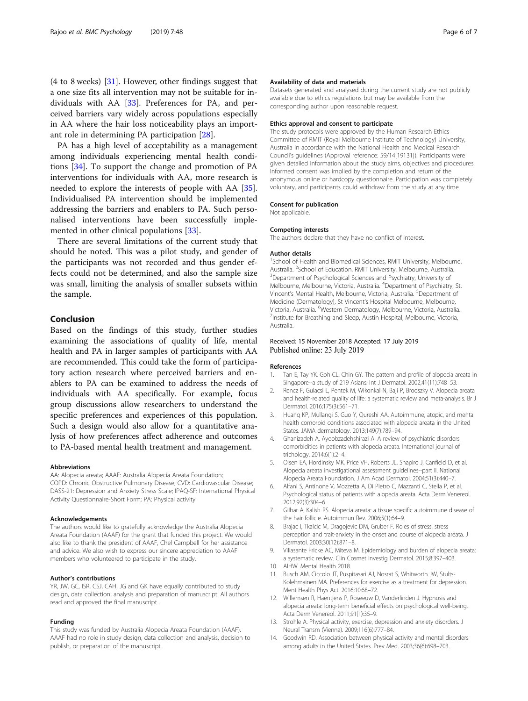<span id="page-5-0"></span>(4 to 8 weeks)  $[31]$  $[31]$  $[31]$ . However, other findings suggest that a one size fits all intervention may not be suitable for individuals with AA [[33\]](#page-6-0). Preferences for PA, and perceived barriers vary widely across populations especially in AA where the hair loss noticeability plays an important role in determining PA participation [[28\]](#page-6-0).

PA has a high level of acceptability as a management among individuals experiencing mental health conditions [[34](#page-6-0)]. To support the change and promotion of PA interventions for individuals with AA, more research is needed to explore the interests of people with AA [\[35](#page-6-0)]. Individualised PA intervention should be implemented addressing the barriers and enablers to PA. Such personalised interventions have been successfully implemented in other clinical populations [[33](#page-6-0)].

There are several limitations of the current study that should be noted. This was a pilot study, and gender of the participants was not recorded and thus gender effects could not be determined, and also the sample size was small, limiting the analysis of smaller subsets within the sample.

#### Conclusion

Based on the findings of this study, further studies examining the associations of quality of life, mental health and PA in larger samples of participants with AA are recommended. This could take the form of participatory action research where perceived barriers and enablers to PA can be examined to address the needs of individuals with AA specifically. For example, focus group discussions allow researchers to understand the specific preferences and experiences of this population. Such a design would also allow for a quantitative analysis of how preferences affect adherence and outcomes to PA-based mental health treatment and management.

#### Abbreviations

AA: Alopecia areata; AAAF: Australia Alopecia Areata Foundation; COPD: Chronic Obstructive Pulmonary Disease; CVD: Cardiovascular Disease; DASS-21: Depression and Anxiety Stress Scale; IPAQ-SF: International Physical Activity Questionnaire-Short Form; PA: Physical activity

#### Acknowledgements

The authors would like to gratefully acknowledge the Australia Alopecia Areata Foundation (AAAF) for the grant that funded this project. We would also like to thank the president of AAAF, Chel Campbell for her assistance and advice. We also wish to express our sincere appreciation to AAAF members who volunteered to participate in the study.

#### Author's contributions

YR, JW, GC, ISR, CSJ, CAH, JG and GK have equally contributed to study design, data collection, analysis and preparation of manuscript. All authors read and approved the final manuscript.

#### Funding

This study was funded by Australia Alopecia Areata Foundation (AAAF). AAAF had no role in study design, data collection and analysis, decision to publish, or preparation of the manuscript.

#### Availability of data and materials

Datasets generated and analysed during the current study are not publicly available due to ethics regulations but may be available from the corresponding author upon reasonable request.

#### Ethics approval and consent to participate

The study protocols were approved by the Human Research Ethics Committee of RMIT (Royal Melbourne Institute of Technology) University, Australia in accordance with the National Health and Medical Research Council's guidelines (Approval reference: 59/14[19131]). Participants were given detailed information about the study aims, objectives and procedures. Informed consent was implied by the completion and return of the anonymous online or hardcopy questionnaire. Participation was completely voluntary, and participants could withdraw from the study at any time.

#### Consent for publication

Not applicable.

#### Competing interests

The authors declare that they have no conflict of interest.

#### Author details

<sup>1</sup>School of Health and Biomedical Sciences, RMIT University, Melbourne, Australia. <sup>2</sup> School of Education, RMIT University, Melbourne, Australia. <sup>3</sup> Department of *Brychological Sciences* and *Brychological* <sup>3</sup> Department of Psychological Sciences and Psychiatry, University of Melbourne, Melbourne, Victoria, Australia. <sup>4</sup>Department of Psychiatry, St. Vincent's Mental Health, Melbourne, Victoria, Australia. <sup>5</sup>Department of Medicine (Dermatology), St Vincent's Hospital Melbourne, Melbourne, Victoria, Australia. <sup>6</sup>Western Dermatology, Melbourne, Victoria, Australia.<br><sup>7</sup>Instituto for Broathing and Sloop. Austin Hospital. Melbourne, Victoria. <sup>7</sup>Institute for Breathing and Sleep, Austin Hospital, Melbourne, Victoria, Australia.

#### Received: 15 November 2018 Accepted: 17 July 2019 Published online: 23 July 2019

#### References

- 1. Tan E, Tay YK, Goh CL, Chin GY. The pattern and profile of alopecia areata in Singapore--a study of 219 Asians. Int J Dermatol. 2002;41(11):748–53.
- 2. Rencz F, Gulacsi L, Pentek M, Wikonkal N, Baji P, Brodszky V. Alopecia areata and health-related quality of life: a systematic review and meta-analysis. Br J Dermatol. 2016;175(3):561–71.
- 3. Huang KP, Mullangi S, Guo Y, Qureshi AA. Autoimmune, atopic, and mental health comorbid conditions associated with alopecia areata in the United States. JAMA dermatology. 2013;149(7):789–94.
- 4. Ghanizadeh A, Ayoobzadehshirazi A. A review of psychiatric disorders comorbidities in patients with alopecia areata. International journal of trichology. 2014;6(1):2–4.
- 5. Olsen EA, Hordinsky MK, Price VH, Roberts JL, Shapiro J, Canfield D, et al. Alopecia areata investigational assessment guidelines--part II. National Alopecia Areata Foundation. J Am Acad Dermatol. 2004;51(3):440–7.
- 6. Alfani S, Antinone V, Mozzetta A, Di Pietro C, Mazzanti C, Stella P, et al. Psychological status of patients with alopecia areata. Acta Derm Venereol. 2012;92(3):304–6.
- 7. Gilhar A, Kalish RS. Alopecia areata: a tissue specific autoimmune disease of the hair follicle. Autoimmun Rev. 2006;5(1):64–9.
- 8. Brajac I, Tkalcic M, Dragojevic DM, Gruber F. Roles of stress, stress perception and trait-anxiety in the onset and course of alopecia areata. J Dermatol. 2003;30(12):871–8.
- 9. Villasante Fricke AC, Miteva M. Epidemiology and burden of alopecia areata: a systematic review. Clin Cosmet Investig Dermatol. 2015;8:397–403.
- 10. AIHW. Mental Health 2018.
- 11. Busch AM, Ciccolo JT, Puspitasari AJ, Nosrat S, Whitworth JW, Stults-Kolehmainen MA. Preferences for exercise as a treatment for depression. Ment Health Phys Act. 2016;10:68–72.
- 12. Willemsen R, Haentjens P, Roseeuw D, Vanderlinden J. Hypnosis and alopecia areata: long-term beneficial effects on psychological well-being. Acta Derm Venereol. 2011;91(1):35–9.
- 13. Strohle A. Physical activity, exercise, depression and anxiety disorders. J Neural Transm (Vienna). 2009;116(6):777–84.
- 14. Goodwin RD. Association between physical activity and mental disorders among adults in the United States. Prev Med. 2003;36(6):698–703.